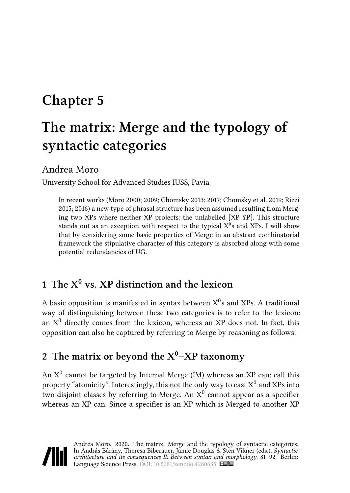# **Chapter 5**

# **The matrix: Merge and the typology of syntactic categories**

## Andrea Moro

University School for Advanced Studies IUSS, Pavia

In recent works [\(Moro 2000](#page-10-0); [2009](#page-10-1); [Chomsky 2013;](#page-10-2) [2017;](#page-10-3) [Chomsky et al. 2019](#page-10-4); [Rizzi](#page-11-0) [2015;](#page-11-0) [2016](#page-11-1)) a new type of phrasal structure has been assumed resulting from Merging two XPs where neither XP projects: the unlabelled [XP YP]. This structure stands out as an exception with respect to the typical  $X^0$ s and XPs. I will show that by considering some basic properties of Merge in an abstract combinatorial framework the stipulative character of this category is absorbed along with some potential redundancies of UG.

# **1 The X<sup>0</sup> vs. XP distinction and the lexicon**

A basic opposition is manifested in syntax between  $\mathrm{X}^0\mathrm{s}$  and XPs. A traditional way of distinguishing between these two categories is to refer to the lexicon: an  $X^0$  directly comes from the lexicon, whereas an XP does not. In fact, this opposition can also be captured by referring to Merge by reasoning as follows.

# **2 The matrix or beyond the X<sup>0</sup>–XP taxonomy**

An  $X^0$  cannot be targeted by Internal Merge (IM) whereas an  $XP$  can; call this property "atomicity". Interestingly, this not the only way to cast  $\mathrm{X}^0$  and XPs into two disjoint classes by referring to Merge. An  $X^0$  cannot appear as a specifier whereas an XP can. Since a specifier is an XP which is Merged to another XP

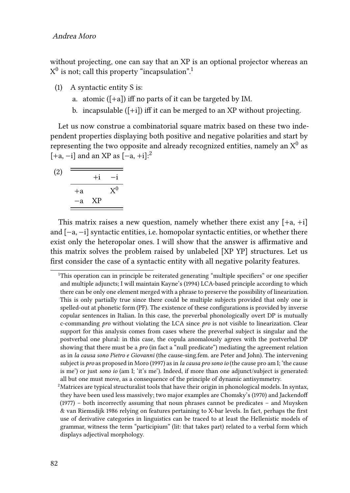without projecting, one can say that an XP is an optional projector whereas an  $\mathrm{X}^{0}$  is not; call this property "incapsulation". $^{1}$ 

- (1) A syntactic entity S is:
	- a. atomic  $([-a])$  iff no parts of it can be targeted by IM.
	- b. incapsulable ([+i]) iff it can be merged to an XP without projecting.

Let us now construe a combinatorial square matrix based on these two independent properties displaying both positive and negative polarities and start by representing the two opposite and already recognized entities, namely an  $\mathrm{X}^0$  as  $[-a, -i]$  and an XP as  $[-a, +i]$ :<sup>2</sup>

<span id="page-1-0"></span>
$$
\begin{array}{c}\n\text{(2)} \quad \overline{\text{)}} \\
\hline\n\begin{array}{c}\n+i \\
\hline\n+a \\
\hline\n-a \\
\hline\n\end{array}\n\end{array}\n\quad\n\begin{array}{c}\n\text{X}^0 \\
\hline\n\end{array}
$$

This matrix raises a new question, namely whether there exist any  $[+a, +i]$ and [−a, −i] syntactic entities, i.e. homopolar syntactic entities, or whether there exist only the heteropolar ones. I will show that the answer is affirmative and this matrix solves the problem raised by unlabeled [XP YP] structures. Let us first consider the case of a syntactic entity with all negative polarity features.

<sup>1</sup>This operation can in principle be reiterated generating "multiple specifiers" or one specifier and multiple adjuncts; I will maintain [Kayne](#page-10-5)'s (1994) LCA-based principle according to which there can be only one element merged with a phrase to preserve the possibility of linearization. This is only partially true since there could be multiple subjects provided that only one is spelled-out at phonetic form (PF). The existence of these configurations is provided by inverse copular sentences in Italian. In this case, the preverbal phonologically overt DP is mutually c-commanding *pro* without violating the LCA since *pro* is not visible to linearization. Clear support for this analysis comes from cases where the preverbal subject is singular and the postverbal one plural: in this case, the copula anomalously agrees with the postverbal DP showing that there must be a *pro* (in fact a "null predicate") mediating the agreement relation as in *la causa sono Pietro e Giovanni* (the cause-sing.fem. are Peter and John). The intervening subject is *pro* as proposed in [Moro \(1997\)](#page-10-6) as in *la causa pro sono io* (the cause pro am I; 'the cause is me') or just *sono io* (am I; 'it's me'). Indeed, if more than one adjunct/subject is generated: all but one must move, as a consequence of the principle of dynamic antisymmetry.

 $<sup>2</sup>$ Matrices are typical structuralist tools that have their origin in phonological models. In syntax,</sup> they have been used less massively; two major examples are [Chomsky'](#page-9-0)s (1970) and [Jackendoff](#page-10-7) [\(1977\)](#page-10-7) – both incorrectly assuming that noun phrases cannot be predicates – and [Muysken](#page-11-2) [& van Riemsdijk 1986](#page-11-2) relying on features pertaining to X-bar levels. In fact, perhaps the first use of derivative categories in linguistics can be traced to at least the Hellenistic models of grammar, witness the term "participium" (lit: that takes part) related to a verbal form which displays adjectival morphology.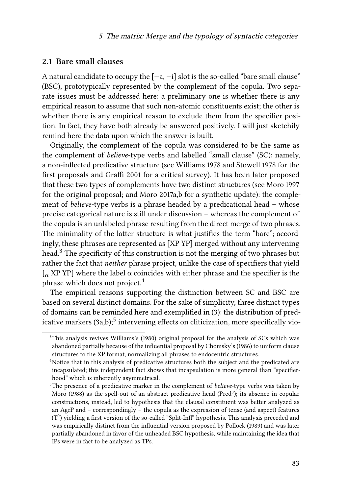#### **2.1 Bare small clauses**

A natural candidate to occupy the  $[-a, -i]$  slot is the so-called "bare small clause" (BSC), prototypically represented by the complement of the copula. Two separate issues must be addressed here: a preliminary one is whether there is any empirical reason to assume that such non-atomic constituents exist; the other is whether there is any empirical reason to exclude them from the specifier position. In fact, they have both already be answered positively. I will just sketchily remind here the data upon which the answer is built.

Originally, the complement of the copula was considered to be the same as the complement of *believe*-type verbs and labelled "small clause" (SC): namely, a non-inflected predicative structure (see [Williams 1978](#page-11-3) and [Stowell 1978](#page-11-4) for the first proposals and [Graffi 2001](#page-10-8) for a critical survey). It has been later proposed that these two types of complements have two distinct structures (see [Moro 1997](#page-10-6) for the original proposal; and [Moro 2017a](#page-11-5),[b](#page-11-6) for a synthetic update): the complement of *believe*-type verbs is a phrase headed by a predicational head – whose precise categorical nature is still under discussion – whereas the complement of the copula is an unlabeled phrase resulting from the direct merge of two phrases. The minimality of the latter structure is what justifies the term "bare"; accordingly, these phrases are represented as [XP YP] merged without any intervening head.<sup>3</sup> The specificity of this construction is not the merging of two phrases but rather the fact that *neither* phrase project, unlike the case of specifiers that yield  $\int_{\alpha}$  XP YP] where the label  $\alpha$  coincides with either phrase and the specifier is the phrase which does not project.<sup>4</sup>

The empirical reasons supporting the distinction between SC and BSC are based on several distinct domains. For the sake of simplicity, three distinct types of domains can be reminded here and exemplified in([3\)](#page-3-0): the distribution of pred-icative markers [\(3](#page-3-0)a,b); $^5$  intervening effects on cliticization, more specifically vio-

<sup>&</sup>lt;sup>3</sup>This analysis revives [Williams](#page-11-7)'s (1980) original proposal for the analysis of SCs which was abandoned partially because of the influential proposal by [Chomsky](#page-10-9)'s (1986) to uniform clause structures to the XP format, normalizing all phrases to endocentric structures.

<sup>&</sup>lt;sup>4</sup>Notice that in this analysis of predicative structures both the subject and the predicated are incapsulated; this independent fact shows that incapsulation is more general than "specifierhood" which is inherently asymmetrical.

<sup>5</sup>The presence of a predicative marker in the complement of *believe*-type verbs was taken by [Moro \(1988\)](#page-10-10) as the spell-out of an abstract predicative head (Pred<sup>0</sup>); its absence in copular constructions, instead, led to hypothesis that the clausal constituent was better analyzed as an AgrP and – correspondingly – the copula as the expression of tense (and aspect) features  $(T^0)$  yielding a first version of the so-called "Split-Infl" hypothesis. This analysis preceded and was empirically distinct from the influential version proposed by [Pollock \(1989\)](#page-11-8) and was later partially abandoned in favor of the unheaded BSC hypothesis, while maintaining the idea that IPs were in fact to be analyzed as TPs.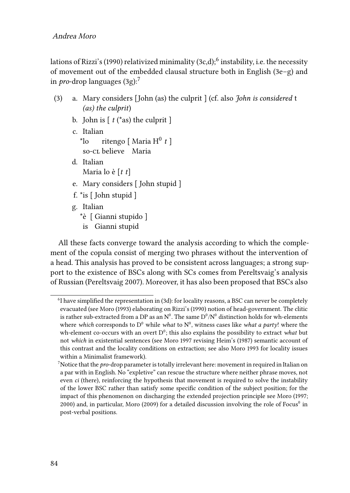lations of [Rizzi'](#page-11-9)s(1990) relativized minimality ([3c](#page-3-0),d); $^6$  instability, i.e. the necessity of movement out of the embedded clausal structure both in English([3e](#page-3-0)–g) and in*pro*-drop languages  $(3g)$  $(3g)$  $(3g)$ :<sup>7</sup>

- <span id="page-3-0"></span>(3) a. Mary considers [John (as) the culprit ] (cf. also *John is considered* t *(as) the culprit*)
	- b. John is  $\lceil t$  (\*as) the culprit  $\rceil$
	- c. Italian  $\overline{10}$ so-cl believe Maria ritengo [ Maria H 0 *t* ]
	- d. Italian Maria lo è [*t t*]
	- e. Mary considers [ John stupid ]
	- f. \*is [ John stupid ]
	- g. Italian
		- \*è [ Gianni stupido ]
		- is Gianni stupid

All these facts converge toward the analysis according to which the complement of the copula consist of merging two phrases without the intervention of a head. This analysis has proved to be consistent across languages; a strong support to the existence of BSCs along with SCs comes from Pereltsvaig's analysis of Russian([Pereltsvaig 2007\)](#page-11-10). Moreover, it has also been proposed that BSCs also

<sup>&</sup>lt;sup>6</sup>Ihave simplified the representation in ([3d](#page-3-0)): for locality reasons, a BSC can never be completely evacuated (see [Moro \(1993\)](#page-10-11) elaborating on [Rizzi'](#page-11-9)s (1990) notion of head-government. The clitic is rather sub-extracted from a DP as an  $\mathrm{N}^0.$  The same  $\mathrm{D}^0/\mathrm{N}^0$  distinction holds for wh-elements where *which* corresponds to  $D^0$  while *what* to  $N^0$ , witness cases like *what a party*! where the wh-element co-occurs with an overt D<sup>0</sup>; this also explains the possibility to extract *what* but not *which* in existential sentences (see [Moro 1997](#page-10-6) revising [Heim](#page-10-12)'s (1987) semantic account of this contrast and the locality conditions on extraction; see also [Moro 1993](#page-10-11) for locality issues within a Minimalist framework).

<sup>7</sup>Notice that the *pro*-drop parameter is totally irrelevant here: movement in required in Italian on a par with in English. No "expletive" can rescue the structure where neither phrase moves, not even *ci* (there), reinforcing the hypothesis that movement is required to solve the instability of the lower BSC rather than satisfy some specific condition of the subject position; for the impact of this phenomenon on discharging the extended projection principle see [Moro \(1997](#page-10-6); [2000](#page-10-0)) and, in particular, [Moro \(2009\)](#page-10-1) for a detailed discussion involving the role of Focus<sup>0</sup> in post-verbal positions.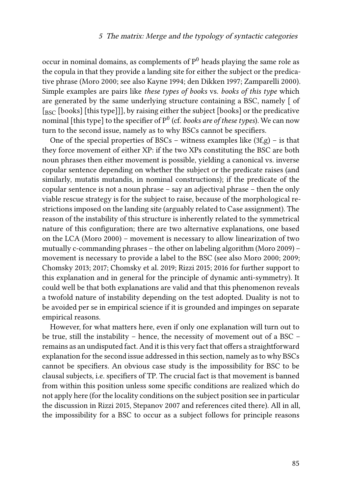occur in nominal domains, as complements of  $P^0$  heads playing the same role as the copula in that they provide a landing site for either the subject or the predicative phrase([Moro 2000;](#page-10-0) see also [Kayne 1994;](#page-10-5) [den Dikken 1997](#page-10-13); [Zamparelli 2000](#page-11-11)). Simple examples are pairs like *these types of books* vs. *books of this type* which are generated by the same underlying structure containing a BSC, namely [ of  $\left[\begin{smallmatrix}RSC\end{smallmatrix}\right]$  [books] [this type]]], by raising either the subject [books] or the predicative nominal [this type] to the specifier of  $\mathrm{P}^0$  (cf. *books are of these types*). We can now turn to the second issue, namely as to why BSCs cannot be specifiers.

Oneof the special properties of BSCs – witness examples like  $(3f,g)$  $(3f,g)$  $(3f,g)$  – is that they force movement of either XP: if the two XPs constituting the BSC are both noun phrases then either movement is possible, yielding a canonical vs. inverse copular sentence depending on whether the subject or the predicate raises (and similarly, mutatis mutandis, in nominal constructions); if the predicate of the copular sentence is not a noun phrase – say an adjectival phrase – then the only viable rescue strategy is for the subject to raise, because of the morphological restrictions imposed on the landing site (arguably related to Case assignment). The reason of the instability of this structure is inherently related to the symmetrical nature of this configuration; there are two alternative explanations, one based on the LCA([Moro 2000](#page-10-0)) – movement is necessary to allow linearization of two mutually c-commanding phrases – the other on labeling algorithm [\(Moro 2009](#page-10-1)) – movement is necessary to provide a label to the BSC (see also [Moro 2000](#page-10-0); [2009;](#page-10-1) [Chomsky 2013;](#page-10-2) [2017](#page-10-3); [Chomsky et al. 2019;](#page-10-4) [Rizzi 2015;](#page-11-0) [2016](#page-11-1) for further support to this explanation and in general for the principle of dynamic anti-symmetry). It could well be that both explanations are valid and that this phenomenon reveals a twofold nature of instability depending on the test adopted. Duality is not to be avoided per se in empirical science if it is grounded and impinges on separate empirical reasons.

However, for what matters here, even if only one explanation will turn out to be true, still the instability – hence, the necessity of movement out of a BSC – remains as an undisputed fact. And it is this very fact that offers a straightforward explanation for the second issue addressed in this section, namely as to why BSCs cannot be specifiers. An obvious case study is the impossibility for BSC to be clausal subjects, i.e. specifiers of TP. The crucial fact is that movement is banned from within this position unless some specific conditions are realized which do not apply here (for the locality conditions on the subject position see in particular the discussion in [Rizzi 2015,](#page-11-0) [Stepanov 2007](#page-11-12) and references cited there). All in all, the impossibility for a BSC to occur as a subject follows for principle reasons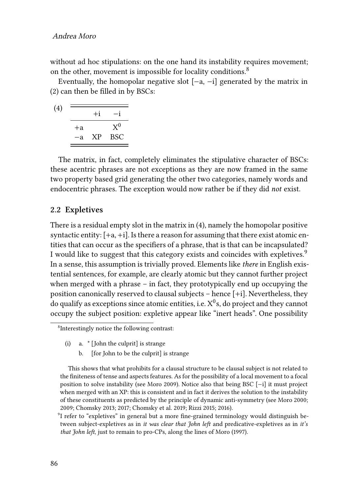#### Andrea Moro

without ad hoc stipulations: on the one hand its instability requires movement; on the other, movement is impossible for locality conditions.<sup>8</sup>

Eventually, the homopolar negative slot [−a, −i] generated by the matrix in [\(2\)](#page-1-0) can then be filled in by BSCs:

<span id="page-5-0"></span>
$$
\begin{array}{c}\n\text{(4)} \quad \overline{\text{ }} \quad +i \quad -i \\
\hline\n\begin{array}{c}\n+i \quad -i \\
\hline\n\text{ } \quad \text{ } \quad \text{ } \quad \text{ } \quad \text{ } \quad \text{ } \quad \text{ } \quad \text{ } \quad \text{ } \quad \text{ } \quad \text{ } \quad \text{ } \quad \text{ } \quad \text{ } \quad \text{ } \quad \text{ } \quad \text{ } \quad \text{ } \quad \text{ } \quad \text{ } \quad \text{ } \quad \text{ } \quad \text{ } \quad \text{ } \quad \text{ } \quad \text{ } \quad \text{ } \quad \text{ } \quad \text{ } \quad \text{ } \quad \text{ } \quad \text{ } \quad \text{ } \quad \text{ } \quad \text{ } \quad \text{ } \quad \text{ } \quad \text{ } \quad \text{ } \quad \text{ } \quad \text{ } \quad \text{ } \quad \text{ } \quad \text{ } \quad \text{ } \quad \text{ } \quad \text{ } \quad \text{ } \quad \text{ } \quad \text{ } \quad \text{ } \quad \text{ } \quad \text{ } \quad \text{ } \quad \text{ } \quad \text{ } \quad \text{ } \quad \text{ } \quad \text{ } \quad \text{ } \quad \text{ } \quad \text{ } \quad \text{ } \quad \text{ } \quad \text{ } \quad \text{ } \quad \text{ } \quad \text{ } \quad \text{ } \quad \text{ } \quad \text{ } \quad \text{ } \quad \text{ } \quad \text{ } \quad \text{ } \quad \text{ } \quad \text{ } \quad \text{ } \quad \text{ } \quad \text{ } \quad \text{ } \quad \text{ } \quad \text{ } \quad \text{ } \quad \text{ } \quad \text{ } \quad \text{ } \quad \text{ } \quad \text{ } \quad \text{ } \quad \text{ } \quad \text{ } \quad \text{ } \quad \text{ } \quad \text{ } \quad \text{ } \quad \text{ } \quad \text{ } \quad \text{ } \quad \text{ } \quad \text{ } \quad \text{ } \quad \text{ } \quad \text{ } \quad \text{ } \quad \text{ } \quad \text{ } \quad \text{ } \quad \text{ } \quad \text{ } \quad \text{ } \quad \text{ } \quad \text{ } \quad \text{ } \quad \text{ } \quad \text{ } \quad \text{ } \quad \text{ }
$$

The matrix, in fact, completely eliminates the stipulative character of BSCs: these acentric phrases are not exceptions as they are now framed in the same two property based grid generating the other two categories, namely words and endocentric phrases. The exception would now rather be if they did *not* exist.

#### **2.2 Expletives**

There is a residual empty slot in the matrix in [\(4\)](#page-5-0), namely the homopolar positive syntactic entity:  $[+a, +i]$ . Is there a reason for assuming that there exist atomic entities that can occur as the specifiers of a phrase, that is that can be incapsulated? I would like to suggest that this category exists and coincides with expletives.<sup>9</sup> In a sense, this assumption is trivially proved. Elements like *there* in English existential sentences, for example, are clearly atomic but they cannot further project when merged with a phrase – in fact, they prototypically end up occupying the position canonically reserved to clausal subjects – hence [+i]. Nevertheless, they do qualify as exceptions since atomic entities, i.e.  $\mathrm{X}^{0}\mathrm{s},$  do project and they cannot occupy the subject position: expletive appear like "inert heads". One possibility

b. [for John to be the culprit] is strange

This shows that what prohibits for a clausal structure to be clausal subject is not related to the finiteness of tense and aspects features. As for the possibility of a local movement to a focal position to solve instability (see [Moro 2009\)](#page-10-1). Notice also that being BSC [−i] it must project when merged with an XP: this is consistent and in fact it derives the solution to the instability of these constituents as predicted by the principle of dynamic anti-symmetry (see [Moro 2000](#page-10-0); [2009](#page-10-1); [Chomsky 2013;](#page-10-2) [2017](#page-10-3); [Chomsky et al. 2019;](#page-10-4) [Rizzi 2015;](#page-11-0) [2016](#page-11-1)).

<sup>9</sup>I refer to "expletives" in general but a more fine-grained terminology would distinguish between subject-expletives as in *it was clear that John left* and predicative-expletives as in *it's that John left*, just to remain to pro-CPs, along the lines of [Moro \(1997\).](#page-10-6)

<sup>8</sup> Interestingly notice the following contrast:

<sup>(</sup>i) a. \* [John the culprit] is strange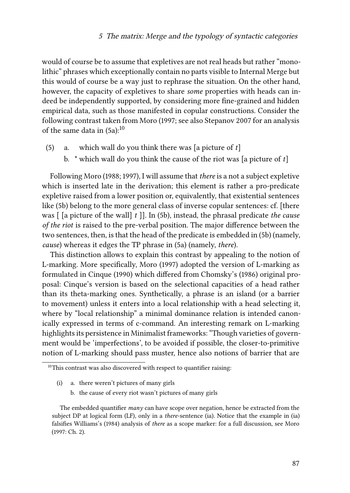would of course be to assume that expletives are not real heads but rather "monolithic" phrases which exceptionally contain no parts visible to Internal Merge but this would of course be a way just to rephrase the situation. On the other hand, however, the capacity of expletives to share *some* properties with heads can indeed be independently supported, by considering more fine-grained and hidden empirical data, such as those manifested in copular constructions. Consider the following contrast taken from [Moro](#page-10-6) ([1997;](#page-10-6) see also [Stepanov 2007](#page-11-12) for an analysis ofthe same data in  $(5a)$  $(5a)$  $(5a)$ :<sup>10</sup>

- <span id="page-6-0"></span>(5) a. which wall do you think there was [a picture of *t*]
	- b. \* which wall do you think the cause of the riot was [a picture of *t*]

Following [Moro \(1988](#page-10-10); [1997\)](#page-10-6), I will assume that *there* is a not a subject expletive which is inserted late in the derivation; this element is rather a pro-predicate expletive raised from a lower position or, equivalently, that existential sentences like [\(5](#page-6-0)b) belong to the more general class of inverse copular sentences: cf. [there was [ [a picture of the wall] *t* ]]. In [\(5](#page-6-0)b), instead, the phrasal predicate *the cause of the riot* is raised to the pre-verbal position. The major difference between the two sentences, then, is that the head of the predicate is embedded in [\(5b](#page-6-0)) (namely, *cause*) whereas it edges the TP phrase in([5a](#page-6-0)) (namely, *there*).

This distinction allows to explain this contrast by appealing to the notion of L-marking. More specifically, [Moro \(1997\)](#page-10-6) adopted the version of L-marking as formulated in [Cinque \(1990\)](#page-10-14) which differed from [Chomsky](#page-10-9)'s (1986) original proposal: Cinque's version is based on the selectional capacities of a head rather than its theta-marking ones. Synthetically, a phrase is an island (or a barrier to movement) unless it enters into a local relationship with a head selecting it, where by "local relationship" a minimal dominance relation is intended canonically expressed in terms of c-command. An interesting remark on L-marking highlights its persistence in Minimalist frameworks: "Though varieties of government would be 'imperfections', to be avoided if possible, the closer-to-primitive notion of L-marking should pass muster, hence also notions of barrier that are

- (i) a. there weren't pictures of many girls
	- b. the cause of every riot wasn't pictures of many girls

 $10$ <sup>10</sup>This contrast was also discovered with respect to quantifier raising:

The embedded quantifier *many* can have scope over negation, hence be extracted from the subject DP at logical form (LF), only in a *there*-sentence (ia). Notice that the example in (ia) falsifies [Williams'](#page-11-13)s (1984) analysis of *there* as a scope marker: for a full discussion, see [Moro](#page-10-6) [\(1997:](#page-10-6) Ch. 2).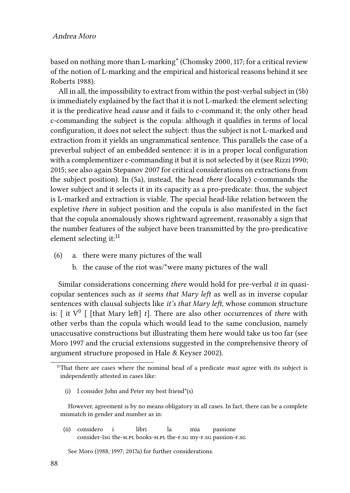based on nothing more than L-marking" [\(Chomsky 2000](#page-10-15), 117; for a critical review of the notion of L-marking and the empirical and historical reasons behind it see [Roberts 1988\)](#page-11-14).

All in all, the impossibility to extract from within the post-verbal subject in([5b](#page-6-0)) is immediately explained by the fact that it is not L-marked: the element selecting it is the predicative head *cause* and it fails to c-command it; the only other head c-commanding the subject is the copula: although it qualifies in terms of local configuration, it does not select the subject: thus the subject is not L-marked and extraction from it yields an ungrammatical sentence. This parallels the case of a preverbal subject of an embedded sentence: it is in a proper local configuration with a complementizer c-commanding it but it is not selected by it (see [Rizzi 1990;](#page-11-9) [2015;](#page-11-0) see also again [Stepanov 2007](#page-11-12) for critical considerations on extractions from the subject position). In [\(5](#page-6-0)a), instead, the head *there* (locally) c-commands the lower subject and it selects it in its capacity as a pro-predicate: thus, the subject is L-marked and extraction is viable. The special head-like relation between the expletive *there* in subject position and the copula is also manifested in the fact that the copula anomalously shows rightward agreement, reasonably a sign that the number features of the subject have been transmitted by the pro-predicative element selecting it: $^{11}$ 

- (6) a. there were many pictures of the wall
	- b. the cause of the riot was/\*were many pictures of the wall

Similar considerations concerning *there* would hold for pre-verbal *it* in quasicopular sentences such as *it seems that Mary left* as well as in inverse copular sentences with clausal subjects like *it's that Mary left*, whose common structure is: [ it  $V^0$  [ [that Mary left] *t*]. There are also other occurrences of *there* with other verbs than the copula which would lead to the same conclusion, namely unaccusative constructions but illustrating them here would take us too far (see [Moro 1997](#page-10-6) and the crucial extensions suggested in the comprehensive theory of argument structure proposed in [Hale & Keyser 2002\)](#page-10-16).

(i) I consider John and Peter my best friend\*(s)

However, agreement is by no means obligatory in all cases. In fact, there can be a complete mismatch in gender and number as in:

(ii) considero consider-1sG the-M.PL books-M.PL the-F.SG my-F.SG passion-F.SG i libri la mia passione

See [Moro \(1988](#page-10-10); [1997](#page-10-6); [2017a\)](#page-11-5) for further considerations.

<sup>&</sup>lt;sup>11</sup>That there are cases where the nominal head of a predicate *must* agree with its subject is independently attested in cases like: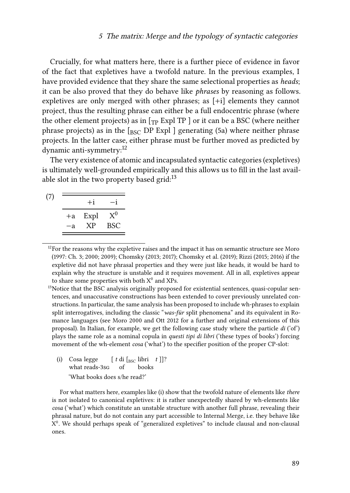Crucially, for what matters here, there is a further piece of evidence in favor of the fact that expletives have a twofold nature. In the previous examples, I have provided evidence that they share the same selectional properties as *heads*; it can be also proved that they do behave like *phrases* by reasoning as follows. expletives are only merged with other phrases; as [+i] elements they cannot project, thus the resulting phrase can either be a full endocentric phrase (where the other element projects) as in  $[\tau_{\rm P}$  Expl TP ] or it can be a BSC (where neither phraseprojects) as in the  $\lceil_{\text{BSC}}$  DP Expl ] generating ([5a](#page-6-0)) where neither phrase projects. In the latter case, either phrase must be further moved as predicted by dynamic anti-symmetry:<sup>12</sup>

The very existence of atomic and incapsulated syntactic categories (expletives) is ultimately well-grounded empirically and this allows us to fill in the last available slot in the two property based grid: $13$ 

|      | $+i$ |                |
|------|------|----------------|
| $+a$ | Expl | $\mathrm{X}^0$ |
| $-a$ | XP   | <b>BSC</b>     |
|      |      |                |

 $12$ For the reasons why the expletive raises and the impact it has on semantic structure see [Moro](#page-10-6) [\(1997:](#page-10-6) Ch. 3; [2000;](#page-10-0) [2009](#page-10-1)); [Chomsky \(2013](#page-10-2); [2017\)](#page-10-3); [Chomsky et al. \(2019](#page-10-4)); [Rizzi \(2015;](#page-11-0) [2016](#page-11-1)) if the expletive did not have phrasal properties and they were just like heads, it would be hard to explain why the structure is unstable and it requires movement. All in all, expletives appear to share some properties with both  $X^0$  and XPs.

<sup>13</sup>Notice that the BSC analysis originally proposed for existential sentences, quasi-copular sentences, and unaccusative constructions has been extended to cover previously unrelated constructions. In particular, the same analysis has been proposed to include wh-phrases to explain split interrogatives, including the classic "*was-für* split phenomena" and its equivalent in Romance languages (see [Moro 2000](#page-10-0) and [Ott 2012](#page-11-15) for a further and original extensions of this proposal). In Italian, for example, we get the following case study where the particle *di* ('of') plays the same role as a nominal copula in *questi tipi di libri* ('these types of books') forcing movement of the wh-element *cosa* ('what') to the specifier position of the proper CP-slot:

(i) Cosa legge what reads-3sg  $[t \text{ di } [_{BSC} \text{ libri } t]]$ ? of books 'What books does s/he read?'

For what matters here, examples like (i) show that the twofold nature of elements like *there* is not isolated to canonical expletives: it is rather unexpectedly shared by wh-elements like *cosa* ('what') which constitute an unstable structure with another full phrase, revealing their phrasal nature, but do not contain any part accessible to Internal Merge, i.e. they behave like X 0 . We should perhaps speak of "generalized expletives" to include clausal and non-clausal ones.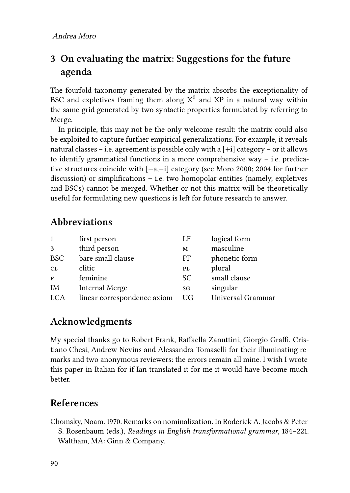# **3 On evaluating the matrix: Suggestions for the future agenda**

The fourfold taxonomy generated by the matrix absorbs the exceptionality of BSC and expletives framing them along  $X^0$  and  $XP$  in a natural way within the same grid generated by two syntactic properties formulated by referring to Merge.

In principle, this may not be the only welcome result: the matrix could also be exploited to capture further empirical generalizations. For example, it reveals natural classes – i.e. agreement is possible only with a  $[+i]$  category – or it allows to identify grammatical functions in a more comprehensive way  $-$  i.e. predicative structures coincide with [−a,−i] category (see [Moro 2000](#page-10-0); [2004](#page-10-17) for further discussion) or simplifications – i.e. two homopolar entities (namely, expletives and BSCs) cannot be merged. Whether or not this matrix will be theoretically useful for formulating new questions is left for future research to answer.

### **Abbreviations**

| first person                | LF            | logical form      |
|-----------------------------|---------------|-------------------|
| third person                | M             | masculine         |
| bare small clause           | PF            | phonetic form     |
| clitic                      | PL            | plural            |
| feminine                    | <sub>SC</sub> | small clause      |
| <b>Internal Merge</b>       | SG            | singular          |
| linear correspondence axiom | UG.           | Universal Grammar |
|                             |               |                   |

## **Acknowledgments**

My special thanks go to Robert Frank, Raffaella Zanuttini, Giorgio Graffi, Cristiano Chesi, Andrew Nevins and Alessandra Tomaselli for their illuminating remarks and two anonymous reviewers: the errors remain all mine. I wish I wrote this paper in Italian for if Ian translated it for me it would have become much better.

## **References**

<span id="page-9-0"></span>Chomsky, Noam. 1970. Remarks on nominalization. In Roderick A. Jacobs & Peter S. Rosenbaum (eds.), *Readings in English transformational grammar*, 184–221. Waltham, MA: Ginn & Company.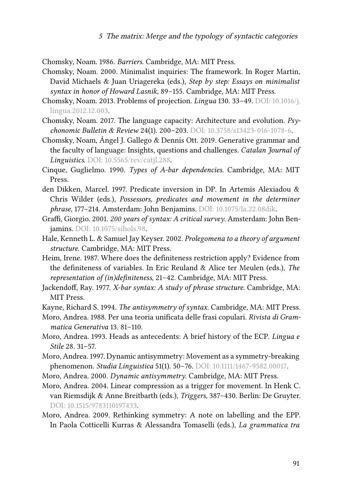<span id="page-10-9"></span>Chomsky, Noam. 1986. *Barriers*. Cambridge, MA: MIT Press.

- <span id="page-10-15"></span>Chomsky, Noam. 2000. Minimalist inquiries: The framework. In Roger Martin, David Michaels & Juan Uriagereka (eds.), *Step by step: Essays on minimalist syntax in honor of Howard Lasnik*, 89–155. Cambridge, MA: MIT Press.
- <span id="page-10-2"></span>Chomsky, Noam. 2013. Problems of projection. *Lingua* 130. 33–49. DOI: [10.1016/j.](https://doi.org/10.1016/j.lingua.2012.12.003) [lingua.2012.12.003.](https://doi.org/10.1016/j.lingua.2012.12.003)
- <span id="page-10-3"></span>Chomsky, Noam. 2017. The language capacity: Architecture and evolution. *Psychonomic Bulletin & Review* 24(1). 200–203. DOI: [10.3758/s13423-016-1078-6](https://doi.org/10.3758/s13423-016-1078-6).
- <span id="page-10-4"></span>Chomsky, Noam, Ángel J. Gallego & Dennis Ott. 2019. Generative grammar and the faculty of language: Insights, questions and challenges. *Catalan Journal of Linguistics*. DOI: [10.5565/rev/catjl.288](https://doi.org/10.5565/rev/catjl.288).
- <span id="page-10-14"></span>Cinque, Guglielmo. 1990. *Types of A-bar dependencies*. Cambridge, MA: MIT Press.
- <span id="page-10-13"></span>den Dikken, Marcel. 1997. Predicate inversion in DP. In Artemis Alexiadou & Chris Wilder (eds.), *Possessors, predicates and movement in the determiner phrase*, 177–214. Amsterdam: John Benjamins. DOI: [10.1075/la.22.08dik](https://doi.org/10.1075/la.22.08dik).
- <span id="page-10-8"></span>Graffi, Giorgio. 2001. *200 years of syntax: A critical survey*. Amsterdam: John Benjamins. DOI: [10.1075/sihols.98](https://doi.org/10.1075/sihols.98).
- <span id="page-10-16"></span>Hale, Kenneth L. & Samuel Jay Keyser. 2002. *Prolegomena to a theory of argument structure*. Cambridge, MA: MIT Press.
- <span id="page-10-12"></span>Heim, Irene. 1987. Where does the definiteness restriction apply? Evidence from the definiteness of variables. In Eric Reuland & Alice ter Meulen (eds.), *The representation of (in)definiteness*, 21–42. Cambridge, MA: MIT Press.
- <span id="page-10-7"></span>Jackendoff, Ray. 1977. *X-bar syntax: A study of phrase structure*. Cambridge, MA: MIT Press.

<span id="page-10-5"></span>Kayne, Richard S. 1994. *The antisymmetry of syntax*. Cambridge, MA: MIT Press.

- <span id="page-10-10"></span>Moro, Andrea. 1988. Per una teoria unificata delle frasi copulari. *Rivista di Grammatica Generativa* 13. 81–110.
- <span id="page-10-11"></span>Moro, Andrea. 1993. Heads as antecedents: A brief history of the ECP. *Lingua e Stile* 28. 31–57.
- <span id="page-10-6"></span>Moro, Andrea. 1997. Dynamic antisymmetry: Movement as a symmetry-breaking phenomenon. *Studia Linguistica* 51(1). 50–76. DOI: [10.1111/1467-9582.00017](https://doi.org/10.1111/1467-9582.00017).
- <span id="page-10-0"></span>Moro, Andrea. 2000. *Dynamic antisymmetry*. Cambridge, MA: MIT Press.
- <span id="page-10-17"></span>Moro, Andrea. 2004. Linear compression as a trigger for movement. In Henk C. van Riemsdijk & Anne Breitbarth (eds.), *Triggers*, 387–430. Berlin: De Gruyter. DOI: [10.1515/9783110197433](https://doi.org/10.1515/9783110197433).
- <span id="page-10-1"></span>Moro, Andrea. 2009. Rethinking symmetry: A note on labelling and the EPP. In Paola Cotticelli Kurras & Alessandra Tomaselli (eds.), *La grammatica tra*